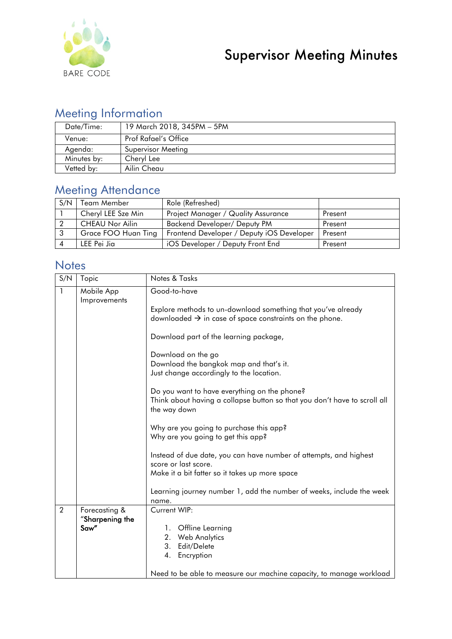

## Meeting Information

| Date/Time:  | 19 March 2018, 345PM - 5PM |
|-------------|----------------------------|
| Venue:      | Prof Rafael's Office       |
| Agenda:     | Supervisor Meeting         |
| Minutes by: | Cheryl Lee                 |
| Vetted by:  | Ailin Cheau                |

### Meeting Attendance

| S/N | Team Member            | Role (Refreshed)                          |         |
|-----|------------------------|-------------------------------------------|---------|
|     | Cheryl LEE Sze Min     | Project Manager / Quality Assurance       | Present |
|     | <b>CHEAU Nor Ailin</b> | <b>Backend Developer/ Deputy PM</b>       | Present |
| -3  | Grace FOO Huan Ting    | Frontend Developer / Deputy iOS Developer | Present |
|     | LEE Pei Jia            | iOS Developer / Deputy Front End          | Present |

#### **Notes**

| S/N            | Topic                            | Notes & Tasks                                                                                                                               |  |
|----------------|----------------------------------|---------------------------------------------------------------------------------------------------------------------------------------------|--|
| 1              | Mobile App<br>Improvements       | Good-to-have                                                                                                                                |  |
|                |                                  | Explore methods to un-download something that you've already<br>downloaded $\rightarrow$ in case of space constraints on the phone.         |  |
|                |                                  | Download part of the learning package,                                                                                                      |  |
|                |                                  | Download on the go<br>Download the bangkok map and that's it.<br>Just change accordingly to the location.                                   |  |
|                |                                  | Do you want to have everything on the phone?<br>Think about having a collapse button so that you don't have to scroll all<br>the way down   |  |
|                |                                  | Why are you going to purchase this app?<br>Why are you going to get this app?                                                               |  |
|                |                                  | Instead of due date, you can have number of attempts, and highest<br>score or last score.<br>Make it a bit fatter so it takes up more space |  |
|                |                                  | Learning journey number 1, add the number of weeks, include the week<br>name.                                                               |  |
| $\overline{2}$ | Forecasting &<br>"Sharpening the | Current WIP:                                                                                                                                |  |
|                | Saw"                             | 1. Offline Learning                                                                                                                         |  |
|                |                                  | 2. Web Analytics                                                                                                                            |  |
|                |                                  | 3. Edit/Delete                                                                                                                              |  |
|                |                                  | 4. Encryption                                                                                                                               |  |
|                |                                  | Need to be able to measure our machine capacity, to manage workload                                                                         |  |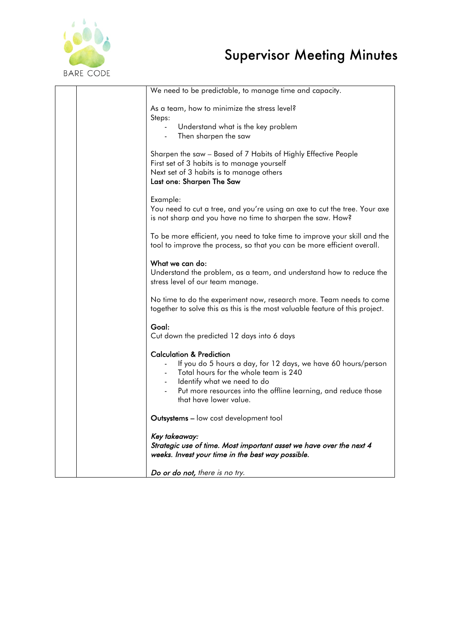

# Supervisor Meeting Minutes

| We need to be predictable, to manage time and capacity.                                                                                              |
|------------------------------------------------------------------------------------------------------------------------------------------------------|
| As a team, how to minimize the stress level?<br>Steps:                                                                                               |
| Understand what is the key problem<br>$\blacksquare$                                                                                                 |
| Then sharpen the saw                                                                                                                                 |
| Sharpen the saw - Based of 7 Habits of Highly Effective People                                                                                       |
| First set of 3 habits is to manage yourself<br>Next set of 3 habits is to manage others                                                              |
| Last one: Sharpen The Saw                                                                                                                            |
| Example:                                                                                                                                             |
| You need to cut a tree, and you're using an axe to cut the tree. Your axe<br>is not sharp and you have no time to sharpen the saw. How?              |
| To be more efficient, you need to take time to improve your skill and the<br>tool to improve the process, so that you can be more efficient overall. |
| What we can do:                                                                                                                                      |
| Understand the problem, as a team, and understand how to reduce the<br>stress level of our team manage.                                              |
| No time to do the experiment now, research more. Team needs to come<br>together to solve this as this is the most valuable feature of this project.  |
| Goal:                                                                                                                                                |
| Cut down the predicted 12 days into 6 days                                                                                                           |
| <b>Calculation &amp; Prediction</b><br>If you do 5 hours a day, for 12 days, we have 60 hours/person                                                 |
| Total hours for the whole team is 240                                                                                                                |
| Identify what we need to do<br>Put more resources into the offline learning, and reduce those                                                        |
| that have lower value.                                                                                                                               |
| Outsystems - low cost development tool                                                                                                               |
| Key takeaway:                                                                                                                                        |
| Strategic use of time. Most important asset we have over the next 4<br>weeks. Invest your time in the best way possible.                             |
| Do or do not, there is no try.                                                                                                                       |